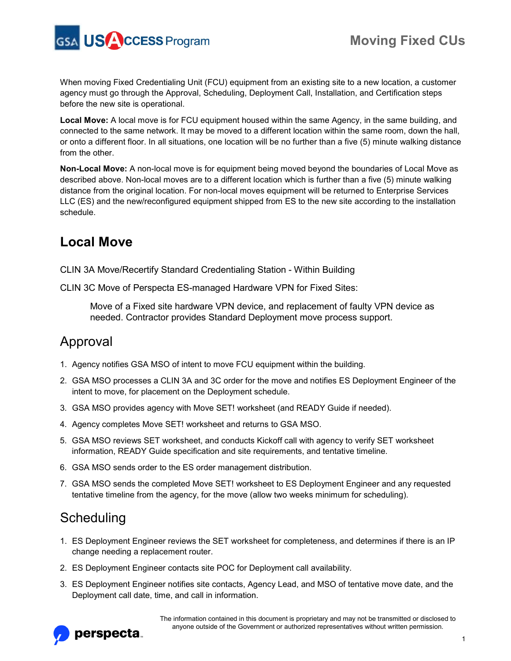

When moving Fixed Credentialing Unit (FCU) equipment from an existing site to a new location, a customer agency must go through the Approval, Scheduling, Deployment Call, Installation, and Certification steps before the new site is operational.

**Local Move:** A local move is for FCU equipment housed within the same Agency, in the same building, and connected to the same network. It may be moved to a different location within the same room, down the hall, or onto a different floor. In all situations, one location will be no further than a five (5) minute walking distance from the other.

**Non-Local Move:** A non-local move is for equipment being moved beyond the boundaries of Local Move as described above. Non-local moves are to a different location which is further than a five (5) minute walking distance from the original location. For non-local moves equipment will be returned to Enterprise Services LLC (ES) and the new/reconfigured equipment shipped from ES to the new site according to the installation schedule.

## **Local Move**

CLIN 3A Move/Recertify Standard Credentialing Station - Within Building

CLIN 3C Move of Perspecta ES-managed Hardware VPN for Fixed Sites:

Move of a Fixed site hardware VPN device, and replacement of faulty VPN device as needed. Contractor provides Standard Deployment move process support.

### Approval

- 1. Agency notifies GSA MSO of intent to move FCU equipment within the building.
- 2. GSA MSO processes a CLIN 3A and 3C order for the move and notifies ES Deployment Engineer of the intent to move, for placement on the Deployment schedule.
- 3. GSA MSO provides agency with Move SET! worksheet (and READY Guide if needed).
- 4. Agency completes Move SET! worksheet and returns to GSA MSO.
- 5. GSA MSO reviews SET worksheet, and conducts Kickoff call with agency to verify SET worksheet information, READY Guide specification and site requirements, and tentative timeline.
- 6. GSA MSO sends order to the ES order management distribution.
- 7. GSA MSO sends the completed Move SET! worksheet to ES Deployment Engineer and any requested tentative timeline from the agency, for the move (allow two weeks minimum for scheduling).

### Scheduling

- 1. ES Deployment Engineer reviews the SET worksheet for completeness, and determines if there is an IP change needing a replacement router.
- 2. ES Deployment Engineer contacts site POC for Deployment call availability.
- 3. ES Deployment Engineer notifies site contacts, Agency Lead, and MSO of tentative move date, and the Deployment call date, time, and call in information.

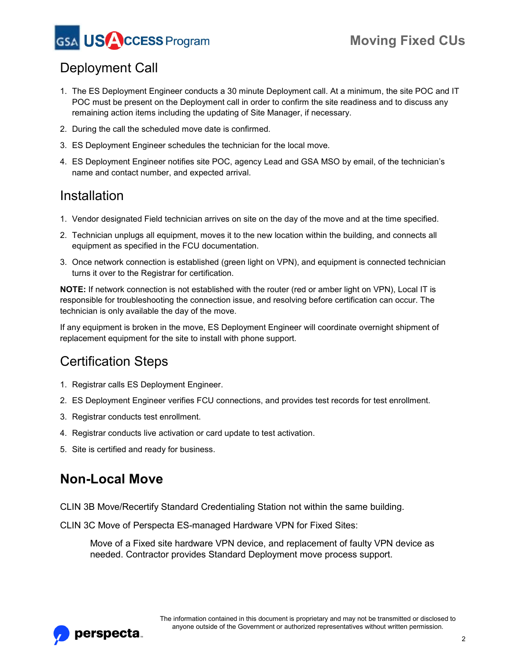

# Deployment Call

- 1. The ES Deployment Engineer conducts a 30 minute Deployment call. At a minimum, the site POC and IT POC must be present on the Deployment call in order to confirm the site readiness and to discuss any remaining action items including the updating of Site Manager, if necessary.
- 2. During the call the scheduled move date is confirmed.
- 3. ES Deployment Engineer schedules the technician for the local move.
- 4. ES Deployment Engineer notifies site POC, agency Lead and GSA MSO by email, of the technician's name and contact number, and expected arrival.

#### Installation

- 1. Vendor designated Field technician arrives on site on the day of the move and at the time specified.
- 2. Technician unplugs all equipment, moves it to the new location within the building, and connects all equipment as specified in the FCU documentation.
- 3. Once network connection is established (green light on VPN), and equipment is connected technician turns it over to the Registrar for certification.

**NOTE:** If network connection is not established with the router (red or amber light on VPN), Local IT is responsible for troubleshooting the connection issue, and resolving before certification can occur. The technician is only available the day of the move.

If any equipment is broken in the move, ES Deployment Engineer will coordinate overnight shipment of replacement equipment for the site to install with phone support.

# Certification Steps

- 1. Registrar calls ES Deployment Engineer.
- 2. ES Deployment Engineer verifies FCU connections, and provides test records for test enrollment.
- 3. Registrar conducts test enrollment.
- 4. Registrar conducts live activation or card update to test activation.
- 5. Site is certified and ready for business.

### **Non-Local Move**

CLIN 3B Move/Recertify Standard Credentialing Station not within the same building.

CLIN 3C Move of Perspecta ES-managed Hardware VPN for Fixed Sites:

Move of a Fixed site hardware VPN device, and replacement of faulty VPN device as needed. Contractor provides Standard Deployment move process support.

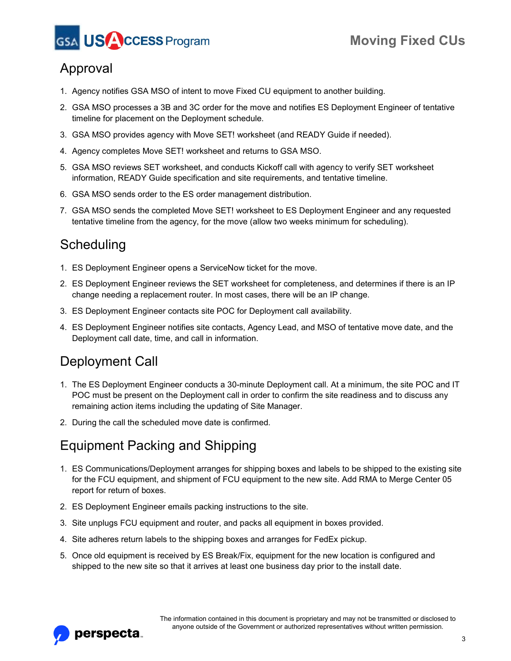



# Approval

- 1. Agency notifies GSA MSO of intent to move Fixed CU equipment to another building.
- 2. GSA MSO processes a 3B and 3C order for the move and notifies ES Deployment Engineer of tentative timeline for placement on the Deployment schedule.
- 3. GSA MSO provides agency with Move SET! worksheet (and READY Guide if needed).
- 4. Agency completes Move SET! worksheet and returns to GSA MSO.
- 5. GSA MSO reviews SET worksheet, and conducts Kickoff call with agency to verify SET worksheet information, READY Guide specification and site requirements, and tentative timeline.
- 6. GSA MSO sends order to the ES order management distribution.
- 7. GSA MSO sends the completed Move SET! worksheet to ES Deployment Engineer and any requested tentative timeline from the agency, for the move (allow two weeks minimum for scheduling).

## **Scheduling**

- 1. ES Deployment Engineer opens a ServiceNow ticket for the move.
- 2. ES Deployment Engineer reviews the SET worksheet for completeness, and determines if there is an IP change needing a replacement router. In most cases, there will be an IP change.
- 3. ES Deployment Engineer contacts site POC for Deployment call availability.
- 4. ES Deployment Engineer notifies site contacts, Agency Lead, and MSO of tentative move date, and the Deployment call date, time, and call in information.

# Deployment Call

- 1. The ES Deployment Engineer conducts a 30-minute Deployment call. At a minimum, the site POC and IT POC must be present on the Deployment call in order to confirm the site readiness and to discuss any remaining action items including the updating of Site Manager.
- 2. During the call the scheduled move date is confirmed.

# Equipment Packing and Shipping

- 1. ES Communications/Deployment arranges for shipping boxes and labels to be shipped to the existing site for the FCU equipment, and shipment of FCU equipment to the new site. Add RMA to Merge Center 05 report for return of boxes.
- 2. ES Deployment Engineer emails packing instructions to the site.
- 3. Site unplugs FCU equipment and router, and packs all equipment in boxes provided.
- 4. Site adheres return labels to the shipping boxes and arranges for FedEx pickup.
- 5. Once old equipment is received by ES Break/Fix, equipment for the new location is configured and shipped to the new site so that it arrives at least one business day prior to the install date.

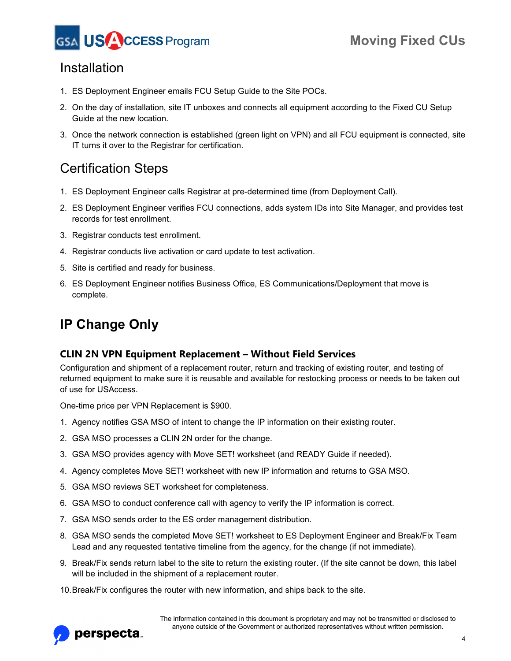

#### Installation

- 1. ES Deployment Engineer emails FCU Setup Guide to the Site POCs.
- 2. On the day of installation, site IT unboxes and connects all equipment according to the Fixed CU Setup Guide at the new location.
- 3. Once the network connection is established (green light on VPN) and all FCU equipment is connected, site IT turns it over to the Registrar for certification.

### Certification Steps

- 1. ES Deployment Engineer calls Registrar at pre-determined time (from Deployment Call).
- 2. ES Deployment Engineer verifies FCU connections, adds system IDs into Site Manager, and provides test records for test enrollment.
- 3. Registrar conducts test enrollment.
- 4. Registrar conducts live activation or card update to test activation.
- 5. Site is certified and ready for business.
- 6. ES Deployment Engineer notifies Business Office, ES Communications/Deployment that move is complete.

# **IP Change Only**

#### **CLIN 2N VPN Equipment Replacement – Without Field Services**

Configuration and shipment of a replacement router, return and tracking of existing router, and testing of returned equipment to make sure it is reusable and available for restocking process or needs to be taken out of use for USAccess.

One-time price per VPN Replacement is \$900.

- 1. Agency notifies GSA MSO of intent to change the IP information on their existing router.
- 2. GSA MSO processes a CLIN 2N order for the change.
- 3. GSA MSO provides agency with Move SET! worksheet (and READY Guide if needed).
- 4. Agency completes Move SET! worksheet with new IP information and returns to GSA MSO.
- 5. GSA MSO reviews SET worksheet for completeness.
- 6. GSA MSO to conduct conference call with agency to verify the IP information is correct.
- 7. GSA MSO sends order to the ES order management distribution.
- 8. GSA MSO sends the completed Move SET! worksheet to ES Deployment Engineer and Break/Fix Team Lead and any requested tentative timeline from the agency, for the change (if not immediate).
- 9. Break/Fix sends return label to the site to return the existing router. (If the site cannot be down, this label will be included in the shipment of a replacement router.
- 10.Break/Fix configures the router with new information, and ships back to the site.